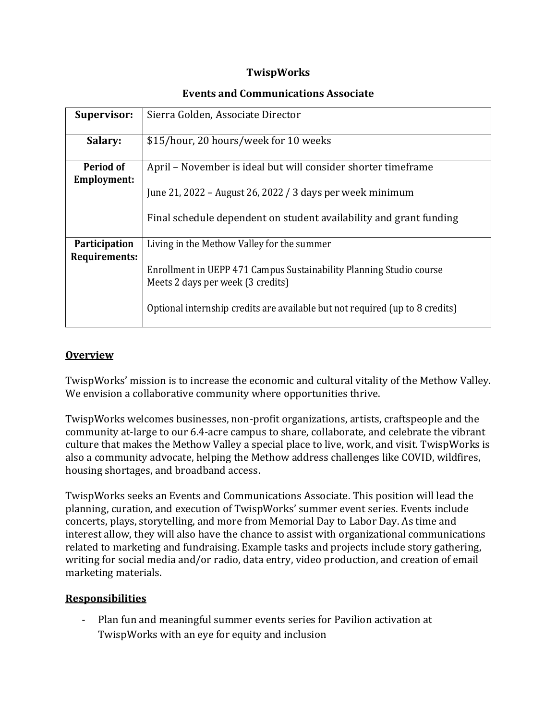# **TwispWorks**

#### **Events and Communications Associate**

| Supervisor:                           | Sierra Golden, Associate Director                                                                        |
|---------------------------------------|----------------------------------------------------------------------------------------------------------|
| Salary:                               | \$15/hour, 20 hours/week for 10 weeks                                                                    |
| Period of<br><b>Employment:</b>       | April – November is ideal but will consider shorter timeframe                                            |
|                                       | June 21, 2022 - August 26, 2022 / 3 days per week minimum                                                |
|                                       | Final schedule dependent on student availability and grant funding                                       |
| <b>Participation</b><br>Requirements: | Living in the Methow Valley for the summer                                                               |
|                                       | Enrollment in UEPP 471 Campus Sustainability Planning Studio course<br>Meets 2 days per week (3 credits) |
|                                       | Optional internship credits are available but not required (up to 8 credits)                             |

# **Overview**

TwispWorks' mission is to increase the economic and cultural vitality of the Methow Valley. We envision a collaborative community where opportunities thrive.

TwispWorks welcomes businesses, non-profit organizations, artists, craftspeople and the community at-large to our 6.4-acre campus to share, collaborate, and celebrate the vibrant culture that makes the Methow Valley a special place to live, work, and visit. TwispWorks is also a community advocate, helping the Methow address challenges like COVID, wildfires, housing shortages, and broadband access.

TwispWorks seeks an Events and Communications Associate. This position will lead the planning, curation, and execution of TwispWorks' summer event series. Events include concerts, plays, storytelling, and more from Memorial Day to Labor Day. As time and interest allow, they will also have the chance to assist with organizational communications related to marketing and fundraising. Example tasks and projects include story gathering, writing for social media and/or radio, data entry, video production, and creation of email marketing materials.

### **Responsibilities**

- Plan fun and meaningful summer events series for Pavilion activation at TwispWorks with an eye for equity and inclusion